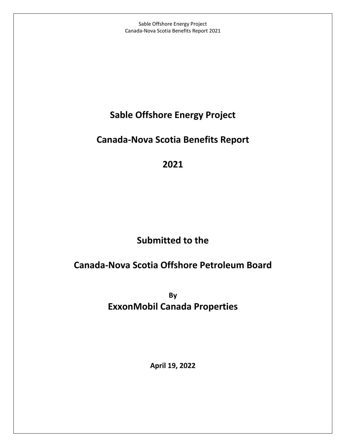Sable Offshore Energy Project Canada-Nova Scotia Benefits Report 2021

## **Sable Offshore Energy Project**

## **Canada-Nova Scotia Benefits Report**

**2021**

# **Submitted to the**

## **Canada-Nova Scotia Offshore Petroleum Board**

**By ExxonMobil Canada Properties**

**April 19, 2022**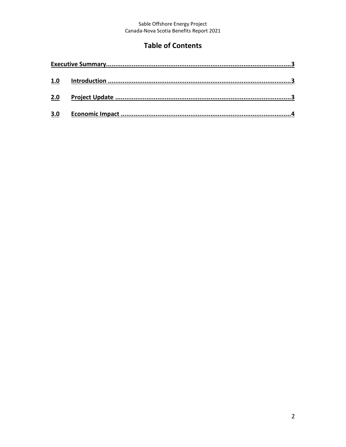# Sable Offshore Energy Project<br>Canada-Nova Scotia Benefits Report 2021

## **Table of Contents**

| 1.0 |  |  |  |  |
|-----|--|--|--|--|
| 2.0 |  |  |  |  |
| 3.0 |  |  |  |  |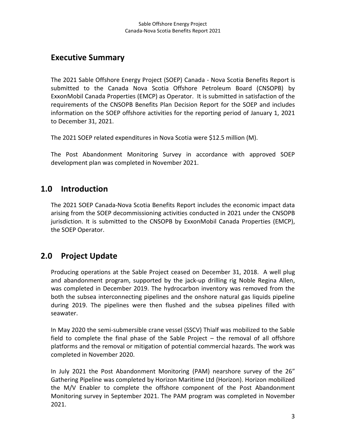#### <span id="page-2-0"></span>**Executive Summary**

The 2021 Sable Offshore Energy Project (SOEP) Canada - Nova Scotia Benefits Report is submitted to the Canada Nova Scotia Offshore Petroleum Board (CNSOPB) by ExxonMobil Canada Properties (EMCP) as Operator. It is submitted in satisfaction of the requirements of the CNSOPB Benefits Plan Decision Report for the SOEP and includes information on the SOEP offshore activities for the reporting period of January 1, 2021 to December 31, 2021.

The 2021 SOEP related expenditures in Nova Scotia were \$12.5 million (M).

The Post Abandonment Monitoring Survey in accordance with approved SOEP development plan was completed in November 2021.

#### <span id="page-2-1"></span>**1.0 Introduction**

The 2021 SOEP Canada-Nova Scotia Benefits Report includes the economic impact data arising from the SOEP decommissioning activities conducted in 2021 under the CNSOPB jurisdiction. It is submitted to the CNSOPB by ExxonMobil Canada Properties (EMCP), the SOEP Operator.

## <span id="page-2-2"></span>**2.0 Project Update**

Producing operations at the Sable Project ceased on December 31, 2018. A well plug and abandonment program, supported by the jack-up drilling rig Noble Regina Allen, was completed in December 2019. The hydrocarbon inventory was removed from the both the subsea interconnecting pipelines and the onshore natural gas liquids pipeline during 2019. The pipelines were then flushed and the subsea pipelines filled with seawater.

In May 2020 the semi-submersible crane vessel (SSCV) Thialf was mobilized to the Sable field to complete the final phase of the Sable Project – the removal of all offshore platforms and the removal or mitigation of potential commercial hazards. The work was completed in November 2020.

In July 2021 the Post Abandonment Monitoring (PAM) nearshore survey of the 26" Gathering Pipeline was completed by Horizon Maritime Ltd (Horizon). Horizon mobilized the M/V Enabler to complete the offshore component of the Post Abandonment Monitoring survey in September 2021. The PAM program was completed in November 2021.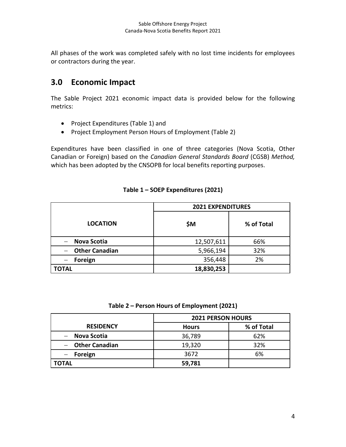All phases of the work was completed safely with no lost time incidents for employees or contractors during the year.

#### <span id="page-3-0"></span>**3.0 Economic Impact**

The Sable Project 2021 economic impact data is provided below for the following metrics:

- Project Expenditures (Table 1) and
- Project Employment Person Hours of Employment (Table 2)

Expenditures have been classified in one of three categories (Nova Scotia, Other Canadian or Foreign) based on the *Canadian General Standards Board* (CGSB) *Method,* which has been adopted by the CNSOPB for local benefits reporting purposes.

|                              | <b>2021 EXPENDITURES</b> |            |  |
|------------------------------|--------------------------|------------|--|
| <b>LOCATION</b>              | \$M                      | % of Total |  |
| <b>Nova Scotia</b>           | 12,507,611               | 66%        |  |
| <b>Other Canadian</b>        | 5,966,194                | 32%        |  |
| Foreign<br>$\qquad \qquad -$ | 356,448                  | 2%         |  |
| <b>TOTAL</b>                 | 18,830,253               |            |  |

#### **Table 1 – SOEP Expenditures (2021)**

**Table 2 – Person Hours of Employment (2021)**

|                  | <b>2021 PERSON HOURS</b> |            |  |
|------------------|--------------------------|------------|--|
| <b>RESIDENCY</b> | <b>Hours</b>             | % of Total |  |
| - Nova Scotia    | 36,789                   | 62%        |  |
| - Other Canadian | 19,320                   | 32%        |  |
| - Foreign        | 3672                     | 6%         |  |
| <b>TOTAL</b>     | 59,781                   |            |  |